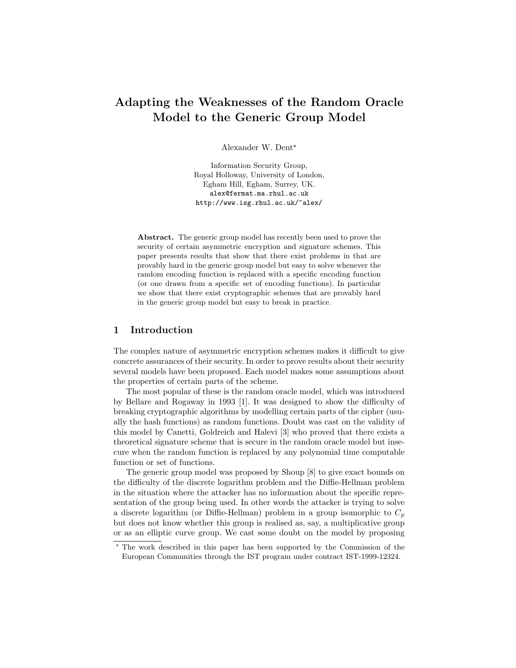# Adapting the Weaknesses of the Random Oracle Model to the Generic Group Model

Alexander W. Dent\*

Information Security Group, Royal Holloway, University of London, Egham Hill, Egham, Surrey, UK. alex@fermat.ma.rhul.ac.uk http://www.isg.rhul.ac.uk/~alex/

Abstract. The generic group model has recently been used to prove the security of certain asymmetric encryption and signature schemes. This paper presents results that show that there exist problems in that are provably hard in the generic group model but easy to solve whenever the random encoding function is replaced with a specific encoding function (or one drawn from a specific set of encoding functions). In particular we show that there exist cryptographic schemes that are provably hard in the generic group model but easy to break in practice.

## 1 Introduction

The complex nature of asymmetric encryption schemes makes it difficult to give concrete assurances of their security. In order to prove results about their security several models have been proposed. Each model makes some assumptions about the properties of certain parts of the scheme.

The most popular of these is the random oracle model, which was introduced by Bellare and Rogaway in 1993 [1]. It was designed to show the difficulty of breaking cryptographic algorithms by modelling certain parts of the cipher (usually the hash functions) as random functions. Doubt was cast on the validity of this model by Canetti, Goldreich and Halevi [3] who proved that there exists a theoretical signature scheme that is secure in the random oracle model but insecure when the random function is replaced by any polynomial time computable function or set of functions.

The generic group model was proposed by Shoup [8] to give exact bounds on the difficulty of the discrete logarithm problem and the Diffie-Hellman problem in the situation where the attacker has no information about the specific representation of the group being used. In other words the attacker is trying to solve a discrete logarithm (or Diffie-Hellman) problem in a group isomorphic to  $C_p$ but does not know whether this group is realised as, say, a multiplicative group or as an elliptic curve group. We cast some doubt on the model by proposing

<sup>?</sup> The work described in this paper has been supported by the Commission of the European Communities through the IST program under contract IST-1999-12324.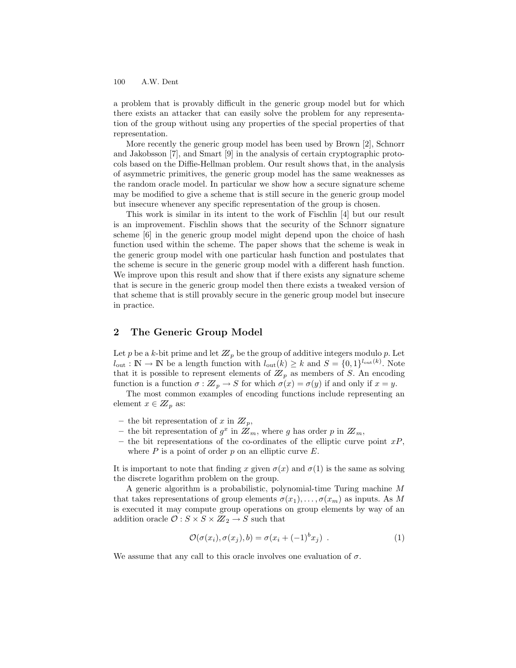a problem that is provably difficult in the generic group model but for which there exists an attacker that can easily solve the problem for any representation of the group without using any properties of the special properties of that representation.

More recently the generic group model has been used by Brown [2], Schnorr and Jakobsson [7], and Smart [9] in the analysis of certain cryptographic protocols based on the Diffie-Hellman problem. Our result shows that, in the analysis of asymmetric primitives, the generic group model has the same weaknesses as the random oracle model. In particular we show how a secure signature scheme may be modified to give a scheme that is still secure in the generic group model but insecure whenever any specific representation of the group is chosen.

This work is similar in its intent to the work of Fischlin [4] but our result is an improvement. Fischlin shows that the security of the Schnorr signature scheme [6] in the generic group model might depend upon the choice of hash function used within the scheme. The paper shows that the scheme is weak in the generic group model with one particular hash function and postulates that the scheme is secure in the generic group model with a different hash function. We improve upon this result and show that if there exists any signature scheme that is secure in the generic group model then there exists a tweaked version of that scheme that is still provably secure in the generic group model but insecure in practice.

# 2 The Generic Group Model

Let p be a k-bit prime and let  $\mathbb{Z}_p$  be the group of additive integers modulo p. Let  $l_{\text{out}} : \mathbb{N} \to \mathbb{N}$  be a length function with  $l_{\text{out}}(k) \geq k$  and  $S = \{0, 1\}^{l_{\text{out}}(k)}$ . Note that it is possible to represent elements of  $\overline{Z}_p$  as members of S. An encoding function is a function  $\sigma: \mathbb{Z}_p \to S$  for which  $\sigma(x) = \sigma(y)$  if and only if  $x = y$ .

The most common examples of encoding functions include representing an element  $x \in \mathbb{Z}_p$  as:

- the bit representation of x in  $\mathbb{Z}_p$ ,
- the bit representation of  $g^x$  in  $\overline{Z}_m$ , where g has order p in  $\overline{Z}_m$ ,
- the bit representations of the co-ordinates of the elliptic curve point  $xP$ , where  $P$  is a point of order  $p$  on an elliptic curve  $E$ .

It is important to note that finding x given  $\sigma(x)$  and  $\sigma(1)$  is the same as solving the discrete logarithm problem on the group.

A generic algorithm is a probabilistic, polynomial-time Turing machine M that takes representations of group elements  $\sigma(x_1), \ldots, \sigma(x_m)$  as inputs. As M is executed it may compute group operations on group elements by way of an addition oracle  $\mathcal{O}: S \times S \times Z\mathbb{Z}_2 \rightarrow S$  such that

$$
\mathcal{O}(\sigma(x_i), \sigma(x_j), b) = \sigma(x_i + (-1)^b x_j) . \tag{1}
$$

We assume that any call to this oracle involves one evaluation of  $\sigma$ .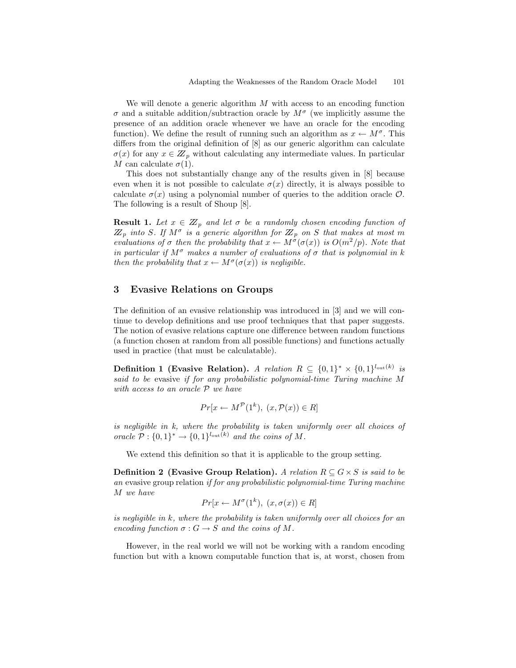We will denote a generic algorithm  $M$  with access to an encoding function  $\sigma$  and a suitable addition/subtraction oracle by  $M^{\sigma}$  (we implicitly assume the presence of an addition oracle whenever we have an oracle for the encoding function). We define the result of running such an algorithm as  $x \leftarrow M^{\sigma}$ . This differs from the original definition of [8] as our generic algorithm can calculate  $\sigma(x)$  for any  $x \in \mathbb{Z}_p$  without calculating any intermediate values. In particular M can calculate  $\sigma(1)$ .

This does not substantially change any of the results given in [8] because even when it is not possible to calculate  $\sigma(x)$  directly, it is always possible to calculate  $\sigma(x)$  using a polynomial number of queries to the addition oracle  $\mathcal{O}$ . The following is a result of Shoup [8].

**Result 1.** Let  $x \in \mathbb{Z}_p$  and let  $\sigma$  be a randomly chosen encoding function of  $\mathbb{Z}_p$  into S. If  $M^{\sigma}$  is a generic algorithm for  $\mathbb{Z}_p$  on S that makes at most m evaluations of  $\sigma$  then the probability that  $x \leftarrow M^{\sigma}(\sigma(x))$  is  $O(m^2/p)$ . Note that in particular if  $M^{\sigma}$  makes a number of evaluations of  $\sigma$  that is polynomial in k then the probability that  $x \leftarrow M^{\sigma}(\sigma(x))$  is negligible.

# 3 Evasive Relations on Groups

The definition of an evasive relationship was introduced in [3] and we will continue to develop definitions and use proof techniques that that paper suggests. The notion of evasive relations capture one difference between random functions (a function chosen at random from all possible functions) and functions actually used in practice (that must be calculatable).

Definition 1 (Evasive Relation). A relation  $R \subseteq \{0,1\}^* \times \{0,1\}^{l_{\text{out}}(k)}$  is said to be evasive if for any probabilistic polynomial-time Turing machine M with access to an oracle  $P$  we have

$$
Pr[x \leftarrow M^{\mathcal{P}}(1^k), (x, \mathcal{P}(x)) \in R]
$$

is negligible in k, where the probability is taken uniformly over all choices of oracle  $\mathcal{P}: \{0,1\}^* \to \{0,1\}^{l_{\text{out}}(k)}$  and the coins of M.

We extend this definition so that it is applicable to the group setting.

**Definition 2** (Evasive Group Relation). A relation  $R \subseteq G \times S$  is said to be an evasive group relation if for any probabilistic polynomial-time Turing machine M we have

$$
Pr[x \leftarrow M^{\sigma}(1^k), (x, \sigma(x)) \in R]
$$

is negligible in  $k$ , where the probability is taken uniformly over all choices for an encoding function  $\sigma : G \to S$  and the coins of M.

However, in the real world we will not be working with a random encoding function but with a known computable function that is, at worst, chosen from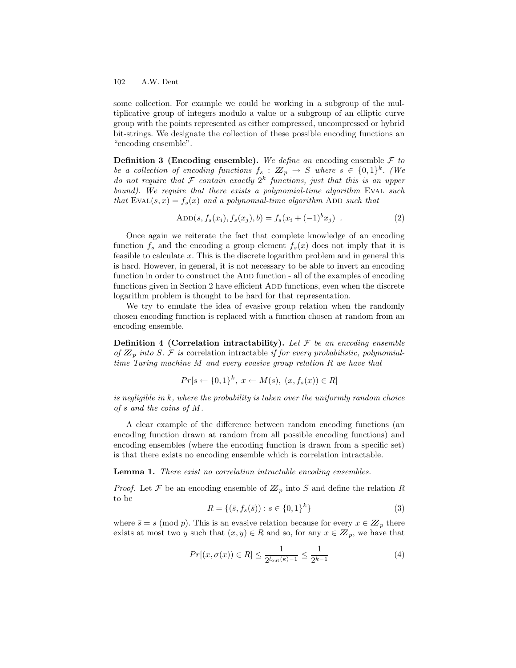some collection. For example we could be working in a subgroup of the multiplicative group of integers modulo a value or a subgroup of an elliptic curve group with the points represented as either compressed, uncompressed or hybrid bit-strings. We designate the collection of these possible encoding functions an "encoding ensemble".

**Definition 3 (Encoding ensemble).** We define an encoding ensemble  $\mathcal F$  to be a collection of encoding functions  $f_s: \mathbb{Z}_p \to S$  where  $s \in \{0,1\}^k$ . (We do not require that F contain exactly  $2^k$  functions, just that this is an upper bound). We require that there exists a polynomial-time algorithm EVAL such that  $EVAL(s, x) = f_s(x)$  and a polynomial-time algorithm ADD such that

$$
ADD(s, f_s(x_i), f_s(x_j), b) = f_s(x_i + (-1)^b x_j) .
$$
\n(2)

Once again we reiterate the fact that complete knowledge of an encoding function  $f_s$  and the encoding a group element  $f_s(x)$  does not imply that it is feasible to calculate x. This is the discrete logarithm problem and in general this is hard. However, in general, it is not necessary to be able to invert an encoding function in order to construct the ADD function - all of the examples of encoding functions given in Section 2 have efficient ADD functions, even when the discrete logarithm problem is thought to be hard for that representation.

We try to emulate the idea of evasive group relation when the randomly chosen encoding function is replaced with a function chosen at random from an encoding ensemble.

**Definition 4 (Correlation intractability).** Let  $\mathcal F$  be an encoding ensemble of  $\mathbb{Z}_p$  into S. F is correlation intractable if for every probabilistic, polynomialtime Turing machine  $M$  and every evasive group relation  $R$  we have that

$$
Pr[s \leftarrow \{0, 1\}^k, \ x \leftarrow M(s), \ (x, f_s(x)) \in R]
$$

is negligible in  $k$ , where the probability is taken over the uniformly random choice of s and the coins of M.

A clear example of the difference between random encoding functions (an encoding function drawn at random from all possible encoding functions) and encoding ensembles (where the encoding function is drawn from a specific set) is that there exists no encoding ensemble which is correlation intractable.

Lemma 1. There exist no correlation intractable encoding ensembles.

*Proof.* Let F be an encoding ensemble of  $\mathbb{Z}_p$  into S and define the relation R to be

$$
R = \{ (\bar{s}, f_s(\bar{s})) : s \in \{0, 1\}^k \}
$$
\n(3)

where  $\bar{s} = s \pmod{p}$ . This is an evasive relation because for every  $x \in \mathbb{Z}_p$  there exists at most two y such that  $(x, y) \in R$  and so, for any  $x \in \mathbb{Z}_p$ , we have that

$$
Pr[(x, \sigma(x)) \in R] \le \frac{1}{2^{l_{\text{out}}(k)-1}} \le \frac{1}{2^{k-1}} \tag{4}
$$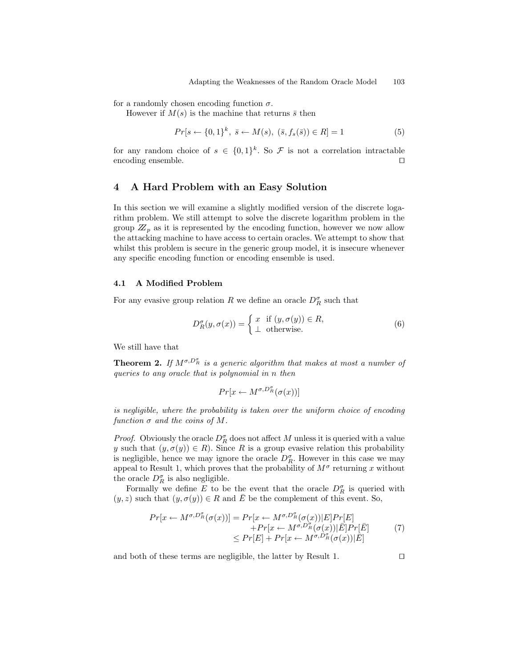for a randomly chosen encoding function  $\sigma$ .

However if  $M(s)$  is the machine that returns  $\bar{s}$  then

$$
Pr[s \leftarrow \{0, 1\}^k, \ \bar{s} \leftarrow M(s), \ (\bar{s}, f_s(\bar{s})) \in R] = 1 \tag{5}
$$

for any random choice of  $s \in \{0,1\}^k$ . So  $\mathcal F$  is not a correlation intractable encoding ensemble.  $\Box$ 

## 4 A Hard Problem with an Easy Solution

In this section we will examine a slightly modified version of the discrete logarithm problem. We still attempt to solve the discrete logarithm problem in the group  $\mathbb{Z}_p$  as it is represented by the encoding function, however we now allow the attacking machine to have access to certain oracles. We attempt to show that whilst this problem is secure in the generic group model, it is insecure whenever any specific encoding function or encoding ensemble is used.

## 4.1 A Modified Problem

For any evasive group relation  $R$  we define an oracle  $D_R^{\sigma}$  such that

$$
D_R^{\sigma}(y, \sigma(x)) = \begin{cases} x & \text{if } (y, \sigma(y)) \in R, \\ \bot & \text{otherwise.} \end{cases}
$$
 (6)

We still have that

**Theorem 2.** If  $M^{\sigma,D_R^{\sigma}}$  is a generic algorithm that makes at most a number of queries to any oracle that is polynomial in n then

$$
Pr[x \leftarrow M^{\sigma, D_R^{\sigma}}(\sigma(x))]
$$

is negligible, where the probability is taken over the uniform choice of encoding function  $\sigma$  and the coins of M.

*Proof.* Obviously the oracle  $D_R^{\sigma}$  does not affect M unless it is queried with a value y such that  $(y, \sigma(y)) \in R$ ). Since R is a group evasive relation this probability is negligible, hence we may ignore the oracle  $D_R^{\sigma}$ . However in this case we may appeal to Result 1, which proves that the probability of  $M^{\sigma}$  returning x without the oracle  $D_R^{\sigma}$  is also negligible.

Formally we define E to be the event that the oracle  $D_R^{\sigma}$  is queried with  $(y, z)$  such that  $(y, \sigma(y)) \in R$  and  $\overline{E}$  be the complement of this event. So,

$$
Pr[x \leftarrow M^{\sigma, D_R^{\sigma}}(\sigma(x))] = Pr[x \leftarrow M^{\sigma, D_R^{\sigma}}(\sigma(x))|E]Pr[E] + Pr[x \leftarrow M^{\sigma, D_R^{\sigma}}(\sigma(x))|\bar{E}]Pr[\bar{E}] \leq Pr[E] + Pr[x \leftarrow M^{\sigma, D_R^{\sigma}}(\sigma(x))|\bar{E}]
$$
(7)

and both of these terms are negligible, the latter by Result 1.  $\Box$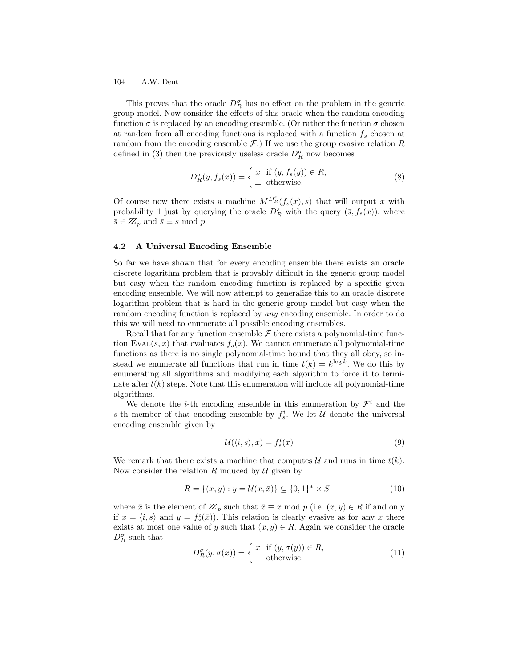This proves that the oracle  $D_R^{\sigma}$  has no effect on the problem in the generic group model. Now consider the effects of this oracle when the random encoding function  $\sigma$  is replaced by an encoding ensemble. (Or rather the function  $\sigma$  chosen at random from all encoding functions is replaced with a function  $f_s$  chosen at random from the encoding ensemble  $\mathcal{F}$ .) If we use the group evasive relation R defined in (3) then the previously useless oracle  $D_R^{\sigma}$  now becomes

$$
D_R^s(y, f_s(x)) = \begin{cases} x & \text{if } (y, f_s(y)) \in R, \\ \perp & \text{otherwise.} \end{cases}
$$
 (8)

Of course now there exists a machine  $M^{D_R^s}(f_s(x), s)$  that will output x with probability 1 just by querying the oracle  $D_R^s$  with the query  $(\bar{s}, f_s(x))$ , where  $\bar{s} \in \mathbb{Z}_p$  and  $\bar{s} \equiv s \mod p$ .

#### 4.2 A Universal Encoding Ensemble

So far we have shown that for every encoding ensemble there exists an oracle discrete logarithm problem that is provably difficult in the generic group model but easy when the random encoding function is replaced by a specific given encoding ensemble. We will now attempt to generalize this to an oracle discrete logarithm problem that is hard in the generic group model but easy when the random encoding function is replaced by any encoding ensemble. In order to do this we will need to enumerate all possible encoding ensembles.

Recall that for any function ensemble  $\mathcal F$  there exists a polynomial-time function EVAL $(s, x)$  that evaluates  $f_s(x)$ . We cannot enumerate all polynomial-time functions as there is no single polynomial-time bound that they all obey, so instead we enumerate all functions that run in time  $t(k) = k^{\log k}$ . We do this by enumerating all algorithms and modifying each algorithm to force it to terminate after  $t(k)$  steps. Note that this enumeration will include all polynomial-time algorithms.

We denote the *i*-th encoding ensemble in this enumeration by  $\mathcal{F}^i$  and the s-th member of that encoding ensemble by  $f_s^i$ . We let U denote the universal encoding ensemble given by

$$
\mathcal{U}(\langle i, s \rangle, x) = f_s^i(x) \tag{9}
$$

We remark that there exists a machine that computes  $\mathcal U$  and runs in time  $t(k)$ . Now consider the relation R induced by  $\mathcal U$  given by

$$
R = \{(x, y) : y = \mathcal{U}(x, \bar{x})\} \subseteq \{0, 1\}^* \times S
$$
\n(10)

where  $\bar{x}$  is the element of  $Z_p$  such that  $\bar{x} \equiv x \mod p$  (i.e.  $(x, y) \in R$  if and only if  $x = \langle i, s \rangle$  and  $y = f_s^i(\bar{x})$ ). This relation is clearly evasive as for any x there exists at most one value of y such that  $(x, y) \in R$ . Again we consider the oracle  $D_R^{\sigma}$  such that

$$
D_R^{\sigma}(y, \sigma(x)) = \begin{cases} x & \text{if } (y, \sigma(y)) \in R, \\ \bot & \text{otherwise.} \end{cases}
$$
 (11)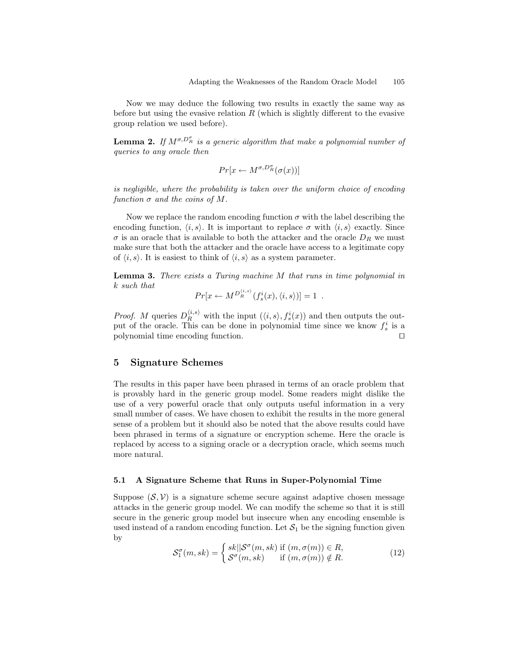Now we may deduce the following two results in exactly the same way as before but using the evasive relation  $R$  (which is slightly different to the evasive group relation we used before).

**Lemma 2.** If  $M^{\sigma, D_R^{\sigma}}$  is a generic algorithm that make a polynomial number of queries to any oracle then

$$
Pr[x \leftarrow M^{\sigma, D_R^{\sigma}}(\sigma(x))]
$$

is negligible, where the probability is taken over the uniform choice of encoding function  $\sigma$  and the coins of M.

Now we replace the random encoding function  $\sigma$  with the label describing the encoding function,  $\langle i, s \rangle$ . It is important to replace  $\sigma$  with  $\langle i, s \rangle$  exactly. Since  $\sigma$  is an oracle that is available to both the attacker and the oracle  $D_R$  we must make sure that both the attacker and the oracle have access to a legitimate copy of  $\langle i, s \rangle$ . It is easiest to think of  $\langle i, s \rangle$  as a system parameter.

Lemma 3. There exists a Turing machine M that runs in time polynomial in k such that

$$
Pr[x \leftarrow M^{D_R^{(i,s)}}(f_s^i(x), \langle i, s \rangle)] = 1.
$$

*Proof.* M queries  $D_R^{\langle i,s \rangle}$  with the input  $(\langle i,s \rangle, f_s^i(x))$  and then outputs the output of the oracle. This can be done in polynomial time since we know  $f_s^i$  is a polynomial time encoding function.

## 5 Signature Schemes

The results in this paper have been phrased in terms of an oracle problem that is provably hard in the generic group model. Some readers might dislike the use of a very powerful oracle that only outputs useful information in a very small number of cases. We have chosen to exhibit the results in the more general sense of a problem but it should also be noted that the above results could have been phrased in terms of a signature or encryption scheme. Here the oracle is replaced by access to a signing oracle or a decryption oracle, which seems much more natural.

#### 5.1 A Signature Scheme that Runs in Super-Polynomial Time

Suppose  $(S, V)$  is a signature scheme secure against adaptive chosen message attacks in the generic group model. We can modify the scheme so that it is still secure in the generic group model but insecure when any encoding ensemble is used instead of a random encoding function. Let  $S_1$  be the signing function given by

$$
S_1^{\sigma}(m, sk) = \begin{cases} sk||\mathcal{S}^{\sigma}(m, sk) \text{ if } (m, \sigma(m)) \in R, \\ \mathcal{S}^{\sigma}(m, sk) \text{ if } (m, \sigma(m)) \notin R. \end{cases}
$$
(12)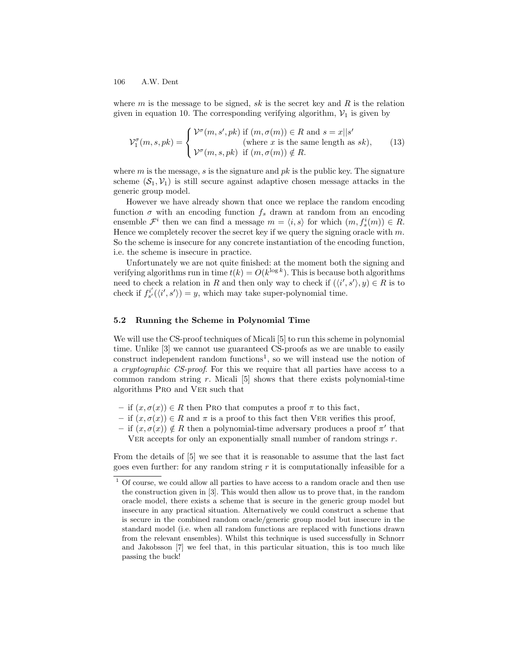where  $m$  is the message to be signed, sk is the secret key and  $R$  is the relation given in equation 10. The corresponding verifying algorithm,  $V_1$  is given by

$$
\mathcal{V}_1^{\sigma}(m, s, pk) = \begin{cases} \mathcal{V}^{\sigma}(m, s', pk) \text{ if } (m, \sigma(m)) \in R \text{ and } s = x || s' \\ \text{ (where } x \text{ is the same length as } sk), \\ \mathcal{V}^{\sigma}(m, s, pk) \text{ if } (m, \sigma(m)) \notin R. \end{cases}
$$
(13)

where m is the message, s is the signature and  $pk$  is the public key. The signature scheme  $(S_1, V_1)$  is still secure against adaptive chosen message attacks in the generic group model.

However we have already shown that once we replace the random encoding function  $\sigma$  with an encoding function  $f_s$  drawn at random from an encoding ensemble  $\mathcal{F}^i$  then we can find a message  $m = \langle i, s \rangle$  for which  $(m, f_s^i(m)) \in R$ . Hence we completely recover the secret key if we query the signing oracle with  $m$ . So the scheme is insecure for any concrete instantiation of the encoding function, i.e. the scheme is insecure in practice.

Unfortunately we are not quite finished: at the moment both the signing and verifying algorithms run in time  $t(k) = O(k^{\log k})$ . This is because both algorithms need to check a relation in R and then only way to check if  $(\langle i', s' \rangle, y) \in R$  is to check if  $f_{s'}^{i'}(\langle i', s' \rangle) = y$ , which may take super-polynomial time.

## 5.2 Running the Scheme in Polynomial Time

We will use the CS-proof techniques of Micali [5] to run this scheme in polynomial time. Unlike [3] we cannot use guaranteed CS-proofs as we are unable to easily construct independent random functions<sup>1</sup>, so we will instead use the notion of a cryptographic CS-proof. For this we require that all parties have access to a common random string  $r$ . Micali  $[5]$  shows that there exists polynomial-time algorithms Pro and Ver such that

- if  $(x, \sigma(x)) \in R$  then Pro that computes a proof  $\pi$  to this fact,
- if  $(x, \sigma(x)) \in R$  and  $\pi$  is a proof to this fact then VER verifies this proof,
- if  $(x, \sigma(x)) \notin R$  then a polynomial-time adversary produces a proof  $\pi'$  that

VER accepts for only an exponentially small number of random strings  $r$ .

From the details of [5] we see that it is reasonable to assume that the last fact goes even further: for any random string  $r$  it is computationally infeasible for a

 $1$  Of course, we could allow all parties to have access to a random oracle and then use the construction given in [3]. This would then allow us to prove that, in the random oracle model, there exists a scheme that is secure in the generic group model but insecure in any practical situation. Alternatively we could construct a scheme that is secure in the combined random oracle/generic group model but insecure in the standard model (i.e. when all random functions are replaced with functions drawn from the relevant ensembles). Whilst this technique is used successfully in Schnorr and Jakobsson [7] we feel that, in this particular situation, this is too much like passing the buck!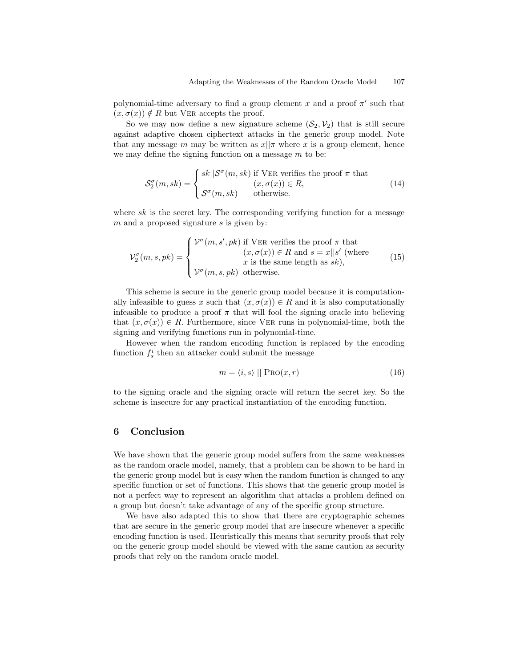polynomial-time adversary to find a group element x and a proof  $\pi'$  such that  $(x, \sigma(x)) \notin R$  but VER accepts the proof.

So we may now define a new signature scheme  $(S_2, V_2)$  that is still secure against adaptive chosen ciphertext attacks in the generic group model. Note that any message m may be written as  $x||\pi$  where x is a group element, hence we may define the signing function on a message  $m$  to be:

$$
S_2^{\sigma}(m, sk) = \begin{cases} sk||\mathcal{S}^{\sigma}(m, sk) \text{ if VER verifies the proof } \pi \text{ that} \\ (x, \sigma(x)) \in R, \\ \mathcal{S}^{\sigma}(m, sk) \text{ otherwise.} \end{cases}
$$
(14)

where  $sk$  is the secret key. The corresponding verifying function for a message  $m$  and a proposed signature  $s$  is given by:

$$
\mathcal{V}_2^{\sigma}(m, s, pk) = \begin{cases} \mathcal{V}^{\sigma}(m, s', pk) & \text{if VER verifies the proof } \pi \text{ that} \\ (x, \sigma(x)) \in R \text{ and } s = x || s' \text{ (where } x \text{ is the same length as } sk), \\ \mathcal{V}^{\sigma}(m, s, pk) & \text{otherwise.} \end{cases}
$$
(15)

This scheme is secure in the generic group model because it is computationally infeasible to guess x such that  $(x, \sigma(x)) \in R$  and it is also computationally infeasible to produce a proof  $\pi$  that will fool the signing oracle into believing that  $(x, \sigma(x)) \in R$ . Furthermore, since VER runs in polynomial-time, both the signing and verifying functions run in polynomial-time.

However when the random encoding function is replaced by the encoding function  $f_s^i$  then an attacker could submit the message

$$
m = \langle i, s \rangle \mid \mid \text{PRO}(x, r) \tag{16}
$$

to the signing oracle and the signing oracle will return the secret key. So the scheme is insecure for any practical instantiation of the encoding function.

# 6 Conclusion

We have shown that the generic group model suffers from the same weaknesses as the random oracle model, namely, that a problem can be shown to be hard in the generic group model but is easy when the random function is changed to any specific function or set of functions. This shows that the generic group model is not a perfect way to represent an algorithm that attacks a problem defined on a group but doesn't take advantage of any of the specific group structure.

We have also adapted this to show that there are cryptographic schemes that are secure in the generic group model that are insecure whenever a specific encoding function is used. Heuristically this means that security proofs that rely on the generic group model should be viewed with the same caution as security proofs that rely on the random oracle model.